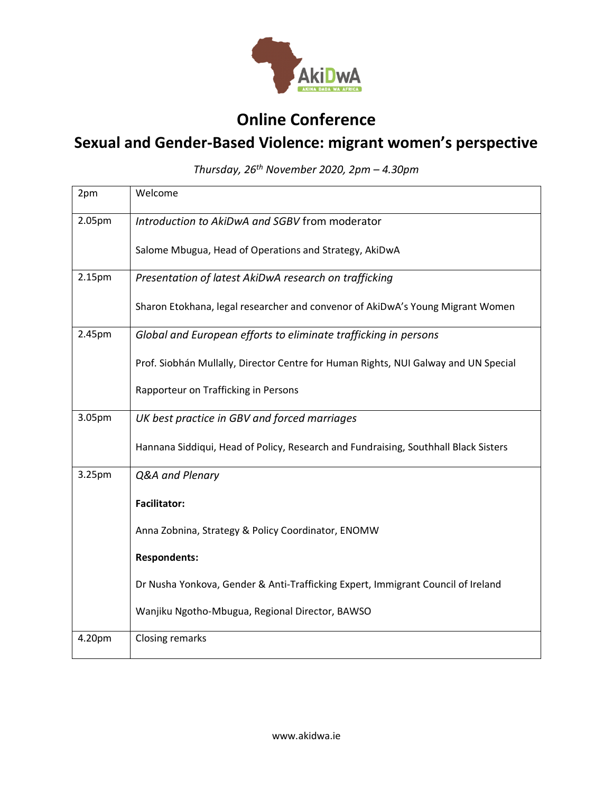

# **Online Conference**

# **Sexual and Gender-Based Violence: migrant women's perspective**

*Thursday, 26th November 2020, 2pm – 4.30pm*

| 2pm    | Welcome                                                                             |
|--------|-------------------------------------------------------------------------------------|
| 2.05pm | Introduction to AkiDwA and SGBV from moderator                                      |
|        | Salome Mbugua, Head of Operations and Strategy, AkiDwA                              |
| 2.15pm | Presentation of latest AkiDwA research on trafficking                               |
|        | Sharon Etokhana, legal researcher and convenor of AkiDwA's Young Migrant Women      |
| 2.45pm | Global and European efforts to eliminate trafficking in persons                     |
|        | Prof. Siobhán Mullally, Director Centre for Human Rights, NUI Galway and UN Special |
|        | Rapporteur on Trafficking in Persons                                                |
| 3.05pm | UK best practice in GBV and forced marriages                                        |
|        | Hannana Siddiqui, Head of Policy, Research and Fundraising, Southhall Black Sisters |
| 3.25pm | Q&A and Plenary                                                                     |
|        | <b>Facilitator:</b>                                                                 |
|        | Anna Zobnina, Strategy & Policy Coordinator, ENOMW                                  |
|        | <b>Respondents:</b>                                                                 |
|        | Dr Nusha Yonkova, Gender & Anti-Trafficking Expert, Immigrant Council of Ireland    |
|        | Wanjiku Ngotho-Mbugua, Regional Director, BAWSO                                     |
| 4.20pm | Closing remarks                                                                     |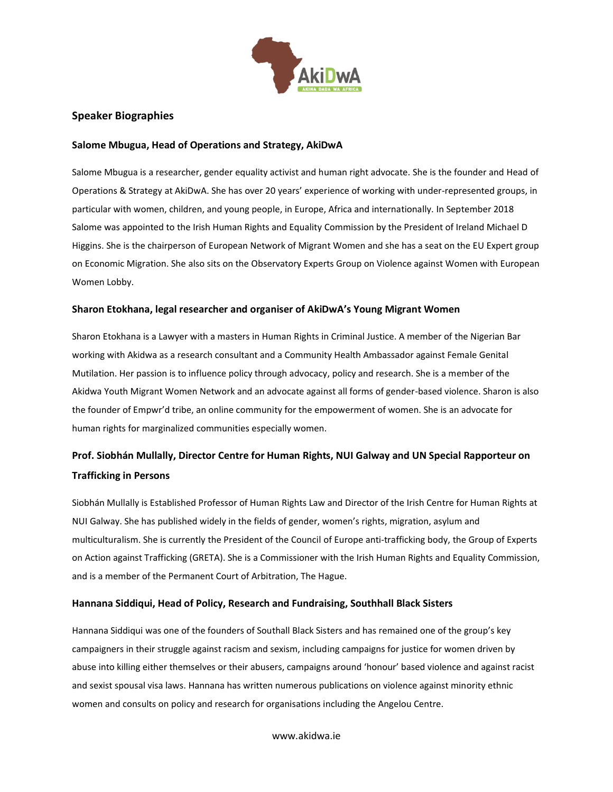

### **Speaker Biographies**

### **Salome Mbugua, Head of Operations and Strategy, AkiDwA**

Salome Mbugua is a researcher, gender equality activist and human right advocate. She is the founder and Head of Operations & Strategy at AkiDwA. She has over 20 years' experience of working with under-represented groups, in particular with women, children, and young people, in Europe, Africa and internationally. In September 2018 Salome was appointed to the Irish Human Rights and Equality Commission by the President of Ireland Michael D Higgins. She is the chairperson of European Network of Migrant Women and she has a seat on the EU Expert group on Economic Migration. She also sits on the Observatory Experts Group on Violence against Women with European Women Lobby.

### **Sharon Etokhana, legal researcher and organiser of AkiDwA's Young Migrant Women**

Sharon Etokhana is a Lawyer with a masters in Human Rights in Criminal Justice. A member of the Nigerian Bar working with Akidwa as a research consultant and a Community Health Ambassador against Female Genital Mutilation. Her passion is to influence policy through advocacy, policy and research. She is a member of the Akidwa Youth Migrant Women Network and an advocate against all forms of gender-based violence. Sharon is also the founder of Empwr'd tribe, an online community for the empowerment of women. She is an advocate for human rights for marginalized communities especially women.

## **Prof. Siobhán Mullally, Director Centre for Human Rights, NUI Galway and UN Special Rapporteur on Trafficking in Persons**

Siobhán Mullally is Established Professor of Human Rights Law and Director of the Irish Centre for Human Rights at NUI Galway. She has published widely in the fields of gender, women's rights, migration, asylum and multiculturalism. She is currently the President of the Council of Europe anti-trafficking body, the Group of Experts on Action against Trafficking (GRETA). She is a Commissioner with the Irish Human Rights and Equality Commission, and is a member of the Permanent Court of Arbitration, The Hague.

#### **Hannana Siddiqui, Head of Policy, Research and Fundraising, Southhall Black Sisters**

Hannana Siddiqui was one of the founders of Southall Black Sisters and has remained one of the group's key campaigners in their struggle against racism and sexism, including campaigns for justice for women driven by abuse into killing either themselves or their abusers, campaigns around 'honour' based violence and against racist and sexist spousal visa laws. Hannana has written numerous publications on violence against minority ethnic women and consults on policy and research for organisations including the Angelou Centre.